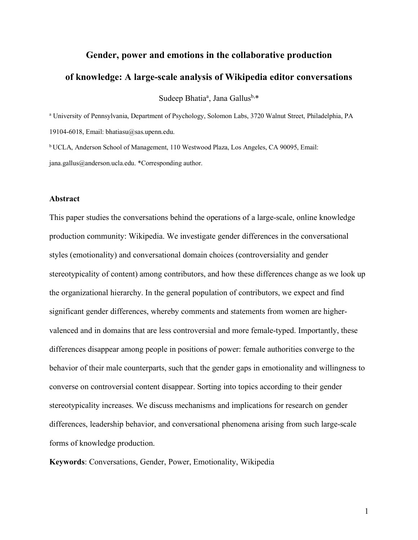# **Gender, power and emotions in the collaborative production of knowledge: A large-scale analysis of Wikipedia editor conversations**

Sudeep Bhatia<sup>a</sup>, Jana Gallus<sup>b,\*</sup>

<sup>a</sup> University of Pennsylvania, Department of Psychology, Solomon Labs, 3720 Walnut Street, Philadelphia, PA 19104-6018, Email: bhatiasu@sas.upenn.edu.

b UCLA, Anderson School of Management, 110 Westwood Plaza, Los Angeles, CA 90095, Email: jana.gallus@anderson.ucla.edu. \*Corresponding author.

## **Abstract**

This paper studies the conversations behind the operations of a large-scale, online knowledge production community: Wikipedia. We investigate gender differences in the conversational styles (emotionality) and conversational domain choices (controversiality and gender stereotypicality of content) among contributors, and how these differences change as we look up the organizational hierarchy. In the general population of contributors, we expect and find significant gender differences, whereby comments and statements from women are highervalenced and in domains that are less controversial and more female-typed. Importantly, these differences disappear among people in positions of power: female authorities converge to the behavior of their male counterparts, such that the gender gaps in emotionality and willingness to converse on controversial content disappear. Sorting into topics according to their gender stereotypicality increases. We discuss mechanisms and implications for research on gender differences, leadership behavior, and conversational phenomena arising from such large-scale forms of knowledge production.

**Keywords**: Conversations, Gender, Power, Emotionality, Wikipedia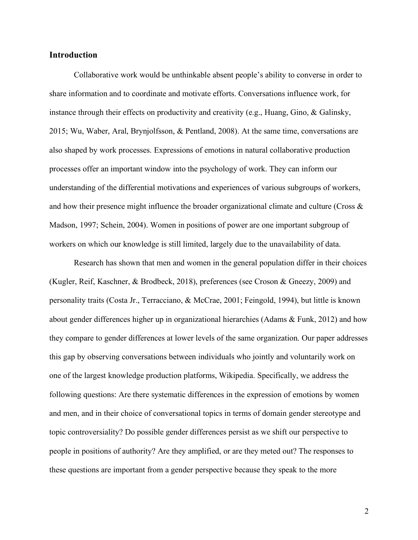### **Introduction**

Collaborative work would be unthinkable absent people's ability to converse in order to share information and to coordinate and motivate efforts. Conversations influence work, for instance through their effects on productivity and creativity (e.g., Huang, Gino, & Galinsky, 2015; Wu, Waber, Aral, Brynjolfsson, & Pentland, 2008). At the same time, conversations are also shaped by work processes. Expressions of emotions in natural collaborative production processes offer an important window into the psychology of work. They can inform our understanding of the differential motivations and experiences of various subgroups of workers, and how their presence might influence the broader organizational climate and culture (Cross & Madson, 1997; Schein, 2004). Women in positions of power are one important subgroup of workers on which our knowledge is still limited, largely due to the unavailability of data.

Research has shown that men and women in the general population differ in their choices (Kugler, Reif, Kaschner, & Brodbeck, 2018), preferences (see Croson & Gneezy, 2009) and personality traits (Costa Jr., Terracciano, & McCrae, 2001; Feingold, 1994), but little is known about gender differences higher up in organizational hierarchies (Adams & Funk, 2012) and how they compare to gender differences at lower levels of the same organization. Our paper addresses this gap by observing conversations between individuals who jointly and voluntarily work on one of the largest knowledge production platforms, Wikipedia. Specifically, we address the following questions: Are there systematic differences in the expression of emotions by women and men, and in their choice of conversational topics in terms of domain gender stereotype and topic controversiality? Do possible gender differences persist as we shift our perspective to people in positions of authority? Are they amplified, or are they meted out? The responses to these questions are important from a gender perspective because they speak to the more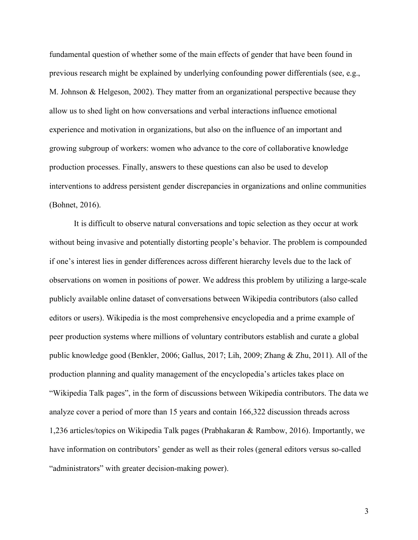fundamental question of whether some of the main effects of gender that have been found in previous research might be explained by underlying confounding power differentials (see, e.g., M. Johnson & Helgeson, 2002). They matter from an organizational perspective because they allow us to shed light on how conversations and verbal interactions influence emotional experience and motivation in organizations, but also on the influence of an important and growing subgroup of workers: women who advance to the core of collaborative knowledge production processes. Finally, answers to these questions can also be used to develop interventions to address persistent gender discrepancies in organizations and online communities (Bohnet, 2016).

It is difficult to observe natural conversations and topic selection as they occur at work without being invasive and potentially distorting people's behavior. The problem is compounded if one's interest lies in gender differences across different hierarchy levels due to the lack of observations on women in positions of power. We address this problem by utilizing a large-scale publicly available online dataset of conversations between Wikipedia contributors (also called editors or users). Wikipedia is the most comprehensive encyclopedia and a prime example of peer production systems where millions of voluntary contributors establish and curate a global public knowledge good (Benkler, 2006; Gallus, 2017; Lih, 2009; Zhang & Zhu, 2011). All of the production planning and quality management of the encyclopedia's articles takes place on "Wikipedia Talk pages", in the form of discussions between Wikipedia contributors. The data we analyze cover a period of more than 15 years and contain 166,322 discussion threads across 1,236 articles/topics on Wikipedia Talk pages (Prabhakaran & Rambow, 2016). Importantly, we have information on contributors' gender as well as their roles (general editors versus so-called "administrators" with greater decision-making power).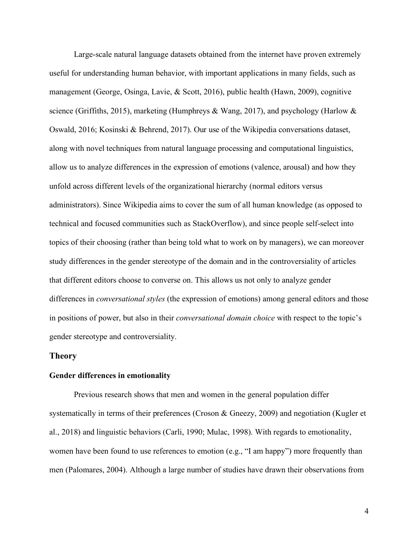Large-scale natural language datasets obtained from the internet have proven extremely useful for understanding human behavior, with important applications in many fields, such as management (George, Osinga, Lavie, & Scott, 2016), public health (Hawn, 2009), cognitive science (Griffiths, 2015), marketing (Humphreys & Wang, 2017), and psychology (Harlow  $\&$ Oswald, 2016; Kosinski & Behrend, 2017). Our use of the Wikipedia conversations dataset, along with novel techniques from natural language processing and computational linguistics, allow us to analyze differences in the expression of emotions (valence, arousal) and how they unfold across different levels of the organizational hierarchy (normal editors versus administrators). Since Wikipedia aims to cover the sum of all human knowledge (as opposed to technical and focused communities such as StackOverflow), and since people self-select into topics of their choosing (rather than being told what to work on by managers), we can moreover study differences in the gender stereotype of the domain and in the controversiality of articles that different editors choose to converse on. This allows us not only to analyze gender differences in *conversational styles* (the expression of emotions) among general editors and those in positions of power, but also in their *conversational domain choice* with respect to the topic's gender stereotype and controversiality.

### **Theory**

#### **Gender differences in emotionality**

Previous research shows that men and women in the general population differ systematically in terms of their preferences (Croson & Gneezy, 2009) and negotiation (Kugler et al., 2018) and linguistic behaviors (Carli, 1990; Mulac, 1998). With regards to emotionality, women have been found to use references to emotion (e.g., "I am happy") more frequently than men (Palomares, 2004). Although a large number of studies have drawn their observations from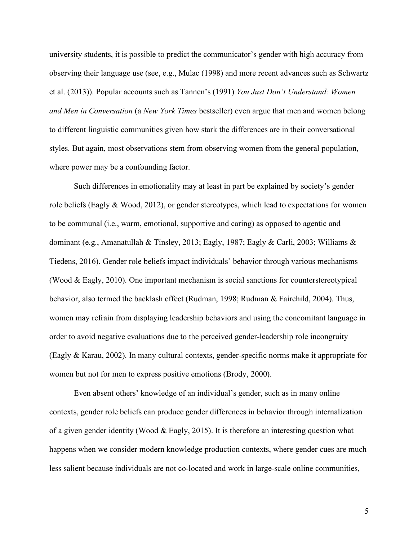university students, it is possible to predict the communicator's gender with high accuracy from observing their language use (see, e.g., Mulac (1998) and more recent advances such as Schwartz et al. (2013)). Popular accounts such as Tannen's (1991) *You Just Don't Understand: Women and Men in Conversation* (a *New York Times* bestseller) even argue that men and women belong to different linguistic communities given how stark the differences are in their conversational styles. But again, most observations stem from observing women from the general population, where power may be a confounding factor.

Such differences in emotionality may at least in part be explained by society's gender role beliefs (Eagly & Wood, 2012), or gender stereotypes, which lead to expectations for women to be communal (i.e., warm, emotional, supportive and caring) as opposed to agentic and dominant (e.g., Amanatullah & Tinsley, 2013; Eagly, 1987; Eagly & Carli, 2003; Williams & Tiedens, 2016). Gender role beliefs impact individuals' behavior through various mechanisms (Wood & Eagly, 2010). One important mechanism is social sanctions for counterstereotypical behavior, also termed the backlash effect (Rudman, 1998; Rudman & Fairchild, 2004). Thus, women may refrain from displaying leadership behaviors and using the concomitant language in order to avoid negative evaluations due to the perceived gender-leadership role incongruity (Eagly & Karau, 2002). In many cultural contexts, gender-specific norms make it appropriate for women but not for men to express positive emotions (Brody, 2000).

Even absent others' knowledge of an individual's gender, such as in many online contexts, gender role beliefs can produce gender differences in behavior through internalization of a given gender identity (Wood & Eagly, 2015). It is therefore an interesting question what happens when we consider modern knowledge production contexts, where gender cues are much less salient because individuals are not co-located and work in large-scale online communities,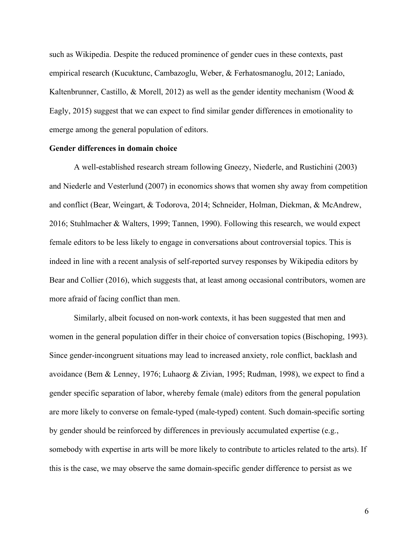such as Wikipedia. Despite the reduced prominence of gender cues in these contexts, past empirical research (Kucuktunc, Cambazoglu, Weber, & Ferhatosmanoglu, 2012; Laniado, Kaltenbrunner, Castillo, & Morell, 2012) as well as the gender identity mechanism (Wood  $\&$ Eagly, 2015) suggest that we can expect to find similar gender differences in emotionality to emerge among the general population of editors.

#### **Gender differences in domain choice**

A well-established research stream following Gneezy, Niederle, and Rustichini (2003) and Niederle and Vesterlund (2007) in economics shows that women shy away from competition and conflict (Bear, Weingart, & Todorova, 2014; Schneider, Holman, Diekman, & McAndrew, 2016; Stuhlmacher & Walters, 1999; Tannen, 1990). Following this research, we would expect female editors to be less likely to engage in conversations about controversial topics. This is indeed in line with a recent analysis of self-reported survey responses by Wikipedia editors by Bear and Collier (2016), which suggests that, at least among occasional contributors, women are more afraid of facing conflict than men.

Similarly, albeit focused on non-work contexts, it has been suggested that men and women in the general population differ in their choice of conversation topics (Bischoping, 1993). Since gender-incongruent situations may lead to increased anxiety, role conflict, backlash and avoidance (Bem & Lenney, 1976; Luhaorg & Zivian, 1995; Rudman, 1998), we expect to find a gender specific separation of labor, whereby female (male) editors from the general population are more likely to converse on female-typed (male-typed) content. Such domain-specific sorting by gender should be reinforced by differences in previously accumulated expertise (e.g., somebody with expertise in arts will be more likely to contribute to articles related to the arts). If this is the case, we may observe the same domain-specific gender difference to persist as we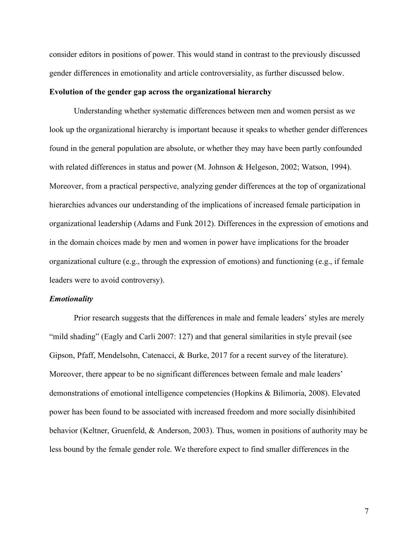consider editors in positions of power. This would stand in contrast to the previously discussed gender differences in emotionality and article controversiality, as further discussed below.

#### **Evolution of the gender gap across the organizational hierarchy**

Understanding whether systematic differences between men and women persist as we look up the organizational hierarchy is important because it speaks to whether gender differences found in the general population are absolute, or whether they may have been partly confounded with related differences in status and power (M. Johnson & Helgeson, 2002; Watson, 1994). Moreover, from a practical perspective, analyzing gender differences at the top of organizational hierarchies advances our understanding of the implications of increased female participation in organizational leadership (Adams and Funk 2012). Differences in the expression of emotions and in the domain choices made by men and women in power have implications for the broader organizational culture (e.g., through the expression of emotions) and functioning (e.g., if female leaders were to avoid controversy).

#### *Emotionality*

Prior research suggests that the differences in male and female leaders' styles are merely "mild shading" (Eagly and Carli 2007: 127) and that general similarities in style prevail (see Gipson, Pfaff, Mendelsohn, Catenacci, & Burke, 2017 for a recent survey of the literature). Moreover, there appear to be no significant differences between female and male leaders' demonstrations of emotional intelligence competencies (Hopkins & Bilimoria, 2008). Elevated power has been found to be associated with increased freedom and more socially disinhibited behavior (Keltner, Gruenfeld, & Anderson, 2003). Thus, women in positions of authority may be less bound by the female gender role. We therefore expect to find smaller differences in the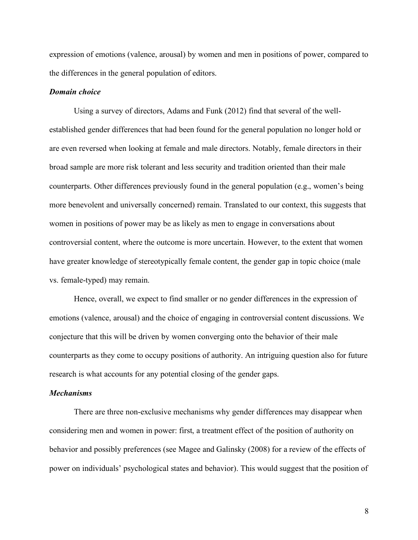expression of emotions (valence, arousal) by women and men in positions of power, compared to the differences in the general population of editors.

#### *Domain choice*

Using a survey of directors, Adams and Funk (2012) find that several of the wellestablished gender differences that had been found for the general population no longer hold or are even reversed when looking at female and male directors. Notably, female directors in their broad sample are more risk tolerant and less security and tradition oriented than their male counterparts. Other differences previously found in the general population (e.g., women's being more benevolent and universally concerned) remain. Translated to our context, this suggests that women in positions of power may be as likely as men to engage in conversations about controversial content, where the outcome is more uncertain. However, to the extent that women have greater knowledge of stereotypically female content, the gender gap in topic choice (male vs. female-typed) may remain.

Hence, overall, we expect to find smaller or no gender differences in the expression of emotions (valence, arousal) and the choice of engaging in controversial content discussions. We conjecture that this will be driven by women converging onto the behavior of their male counterparts as they come to occupy positions of authority. An intriguing question also for future research is what accounts for any potential closing of the gender gaps.

#### *Mechanisms*

There are three non-exclusive mechanisms why gender differences may disappear when considering men and women in power: first, a treatment effect of the position of authority on behavior and possibly preferences (see Magee and Galinsky (2008) for a review of the effects of power on individuals' psychological states and behavior). This would suggest that the position of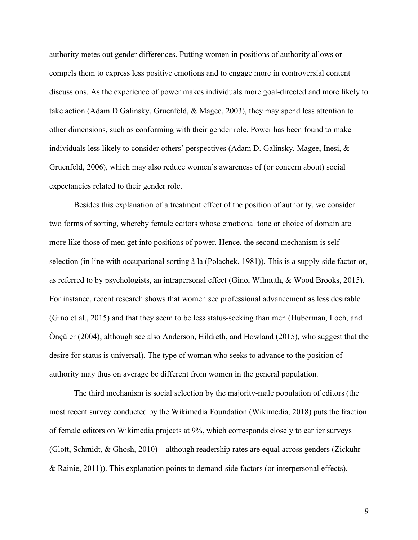authority metes out gender differences. Putting women in positions of authority allows or compels them to express less positive emotions and to engage more in controversial content discussions. As the experience of power makes individuals more goal-directed and more likely to take action (Adam D Galinsky, Gruenfeld, & Magee, 2003), they may spend less attention to other dimensions, such as conforming with their gender role. Power has been found to make individuals less likely to consider others' perspectives (Adam D. Galinsky, Magee, Inesi, & Gruenfeld, 2006), which may also reduce women's awareness of (or concern about) social expectancies related to their gender role.

Besides this explanation of a treatment effect of the position of authority, we consider two forms of sorting, whereby female editors whose emotional tone or choice of domain are more like those of men get into positions of power. Hence, the second mechanism is selfselection (in line with occupational sorting à la (Polachek, 1981)). This is a supply-side factor or, as referred to by psychologists, an intrapersonal effect (Gino, Wilmuth, & Wood Brooks, 2015). For instance, recent research shows that women see professional advancement as less desirable (Gino et al., 2015) and that they seem to be less status-seeking than men (Huberman, Loch, and Önçüler (2004); although see also Anderson, Hildreth, and Howland (2015), who suggest that the desire for status is universal). The type of woman who seeks to advance to the position of authority may thus on average be different from women in the general population.

The third mechanism is social selection by the majority-male population of editors (the most recent survey conducted by the Wikimedia Foundation (Wikimedia, 2018) puts the fraction of female editors on Wikimedia projects at 9%, which corresponds closely to earlier surveys (Glott, Schmidt, & Ghosh, 2010) – although readership rates are equal across genders (Zickuhr & Rainie, 2011)). This explanation points to demand-side factors (or interpersonal effects),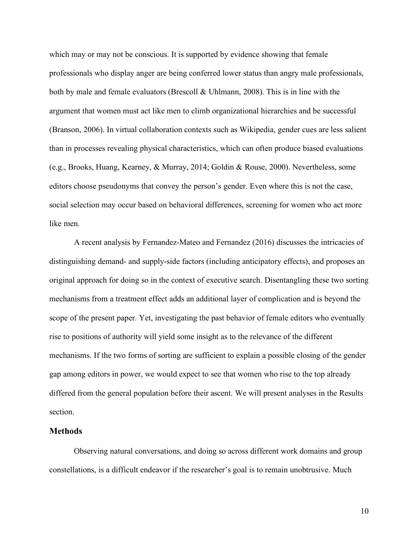which may or may not be conscious. It is supported by evidence showing that female professionals who display anger are being conferred lower status than angry male professionals, both by male and female evaluators (Brescoll  $\&$  Uhlmann, 2008). This is in line with the argument that women must act like men to climb organizational hierarchies and be successful (Branson, 2006). In virtual collaboration contexts such as Wikipedia, gender cues are less salient than in processes revealing physical characteristics, which can often produce biased evaluations (e.g., Brooks, Huang, Kearney, & Murray, 2014; Goldin & Rouse, 2000). Nevertheless, some editors choose pseudonyms that convey the person's gender. Even where this is not the case, social selection may occur based on behavioral differences, screening for women who act more like men.

A recent analysis by Fernandez-Mateo and Fernandez (2016) discusses the intricacies of distinguishing demand- and supply-side factors (including anticipatory effects), and proposes an original approach for doing so in the context of executive search. Disentangling these two sorting mechanisms from a treatment effect adds an additional layer of complication and is beyond the scope of the present paper. Yet, investigating the past behavior of female editors who eventually rise to positions of authority will yield some insight as to the relevance of the different mechanisms. If the two forms of sorting are sufficient to explain a possible closing of the gender gap among editors in power, we would expect to see that women who rise to the top already differed from the general population before their ascent. We will present analyses in the Results section.

## **Methods**

Observing natural conversations, and doing so across different work domains and group constellations, is a difficult endeavor if the researcher's goal is to remain unobtrusive. Much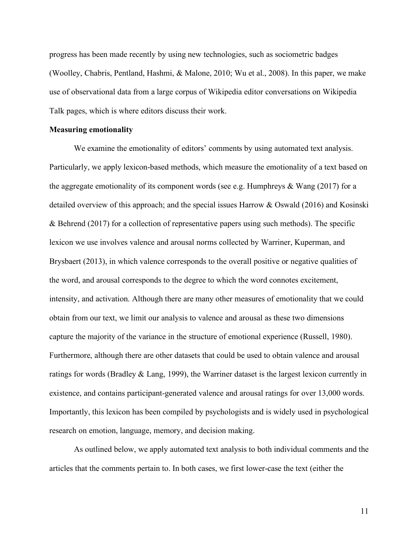progress has been made recently by using new technologies, such as sociometric badges (Woolley, Chabris, Pentland, Hashmi, & Malone, 2010; Wu et al., 2008). In this paper, we make use of observational data from a large corpus of Wikipedia editor conversations on Wikipedia Talk pages, which is where editors discuss their work.

#### **Measuring emotionality**

We examine the emotionality of editors' comments by using automated text analysis. Particularly, we apply lexicon-based methods, which measure the emotionality of a text based on the aggregate emotionality of its component words (see e.g. Humphreys & Wang (2017) for a detailed overview of this approach; and the special issues Harrow & Oswald (2016) and Kosinski & Behrend (2017) for a collection of representative papers using such methods). The specific lexicon we use involves valence and arousal norms collected by Warriner, Kuperman, and Brysbaert (2013), in which valence corresponds to the overall positive or negative qualities of the word, and arousal corresponds to the degree to which the word connotes excitement, intensity, and activation. Although there are many other measures of emotionality that we could obtain from our text, we limit our analysis to valence and arousal as these two dimensions capture the majority of the variance in the structure of emotional experience (Russell, 1980). Furthermore, although there are other datasets that could be used to obtain valence and arousal ratings for words (Bradley & Lang, 1999), the Warriner dataset is the largest lexicon currently in existence, and contains participant-generated valence and arousal ratings for over 13,000 words. Importantly, this lexicon has been compiled by psychologists and is widely used in psychological research on emotion, language, memory, and decision making.

As outlined below, we apply automated text analysis to both individual comments and the articles that the comments pertain to. In both cases, we first lower-case the text (either the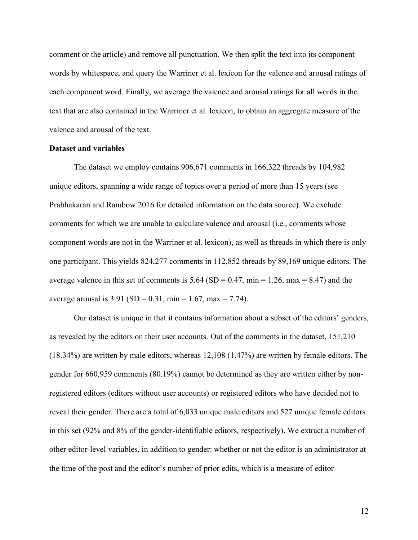comment or the article) and remove all punctuation. We then split the text into its component words by whitespace, and query the Warriner et al. lexicon for the valence and arousal ratings of each component word. Finally, we average the valence and arousal ratings for all words in the text that are also contained in the Warriner et al. lexicon, to obtain an aggregate measure of the valence and arousal of the text.

#### **Dataset and variables**

The dataset we employ contains 906,671 comments in 166,322 threads by 104,982 unique editors, spanning a wide range of topics over a period of more than 15 years (see Prabhakaran and Rambow 2016 for detailed information on the data source). We exclude comments for which we are unable to calculate valence and arousal (i.e., comments whose component words are not in the Warriner et al. lexicon), as well as threads in which there is only one participant. This yields 824,277 comments in 112,852 threads by 89,169 unique editors. The average valence in this set of comments is  $5.64$  (SD = 0.47, min = 1.26, max = 8.47) and the average arousal is  $3.91$  (SD = 0.31, min = 1.67, max = 7.74).

Our dataset is unique in that it contains information about a subset of the editors' genders, as revealed by the editors on their user accounts. Out of the comments in the dataset, 151,210 (18.34%) are written by male editors, whereas 12,108 (1.47%) are written by female editors. The gender for 660,959 comments (80.19%) cannot be determined as they are written either by nonregistered editors (editors without user accounts) or registered editors who have decided not to reveal their gender. There are a total of 6,033 unique male editors and 527 unique female editors in this set (92% and 8% of the gender-identifiable editors, respectively). We extract a number of other editor-level variables, in addition to gender: whether or not the editor is an administrator at the time of the post and the editor's number of prior edits, which is a measure of editor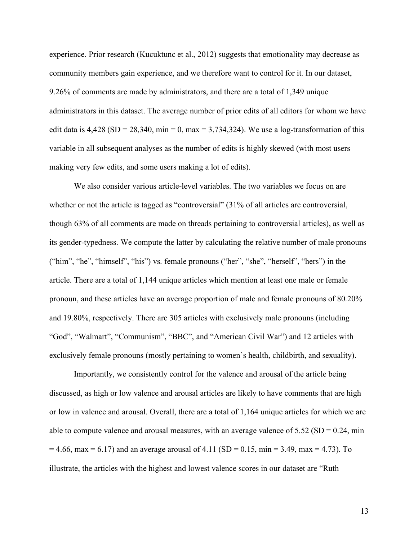experience. Prior research (Kucuktunc et al., 2012) suggests that emotionality may decrease as community members gain experience, and we therefore want to control for it. In our dataset, 9.26% of comments are made by administrators, and there are a total of 1,349 unique administrators in this dataset. The average number of prior edits of all editors for whom we have edit data is  $4,428$  (SD = 28,340, min = 0, max = 3,734,324). We use a log-transformation of this variable in all subsequent analyses as the number of edits is highly skewed (with most users making very few edits, and some users making a lot of edits).

We also consider various article-level variables. The two variables we focus on are whether or not the article is tagged as "controversial" (31% of all articles are controversial, though 63% of all comments are made on threads pertaining to controversial articles), as well as its gender-typedness. We compute the latter by calculating the relative number of male pronouns ("him", "he", "himself", "his") vs. female pronouns ("her", "she", "herself", "hers") in the article. There are a total of 1,144 unique articles which mention at least one male or female pronoun, and these articles have an average proportion of male and female pronouns of 80.20% and 19.80%, respectively. There are 305 articles with exclusively male pronouns (including "God", "Walmart", "Communism", "BBC", and "American Civil War") and 12 articles with exclusively female pronouns (mostly pertaining to women's health, childbirth, and sexuality).

Importantly, we consistently control for the valence and arousal of the article being discussed, as high or low valence and arousal articles are likely to have comments that are high or low in valence and arousal. Overall, there are a total of 1,164 unique articles for which we are able to compute valence and arousal measures, with an average valence of  $5.52$  (SD = 0.24, min  $= 4.66$ , max  $= 6.17$ ) and an average arousal of  $4.11$  (SD  $= 0.15$ , min  $= 3.49$ , max  $= 4.73$ ). To illustrate, the articles with the highest and lowest valence scores in our dataset are "Ruth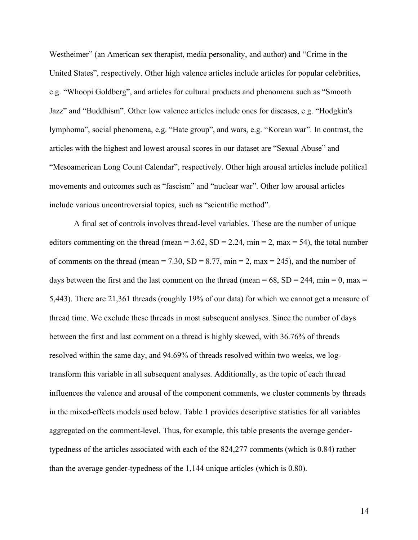Westheimer" (an American sex therapist, media personality, and author) and "Crime in the United States", respectively. Other high valence articles include articles for popular celebrities, e.g. "Whoopi Goldberg", and articles for cultural products and phenomena such as "Smooth Jazz" and "Buddhism". Other low valence articles include ones for diseases, e.g. "Hodgkin's lymphoma", social phenomena, e.g. "Hate group", and wars, e.g. "Korean war". In contrast, the articles with the highest and lowest arousal scores in our dataset are "Sexual Abuse" and "Mesoamerican Long Count Calendar", respectively. Other high arousal articles include political movements and outcomes such as "fascism" and "nuclear war". Other low arousal articles include various uncontroversial topics, such as "scientific method".

A final set of controls involves thread-level variables. These are the number of unique editors commenting on the thread (mean =  $3.62$ , SD =  $2.24$ , min =  $2$ , max =  $54$ ), the total number of comments on the thread (mean = 7.30, SD = 8.77, min = 2, max = 245), and the number of days between the first and the last comment on the thread (mean = 68,  $SD = 244$ , min = 0, max = 5,443). There are 21,361 threads (roughly 19% of our data) for which we cannot get a measure of thread time. We exclude these threads in most subsequent analyses. Since the number of days between the first and last comment on a thread is highly skewed, with 36.76% of threads resolved within the same day, and 94.69% of threads resolved within two weeks, we logtransform this variable in all subsequent analyses. Additionally, as the topic of each thread influences the valence and arousal of the component comments, we cluster comments by threads in the mixed-effects models used below. Table 1 provides descriptive statistics for all variables aggregated on the comment-level. Thus, for example, this table presents the average gendertypedness of the articles associated with each of the 824,277 comments (which is 0.84) rather than the average gender-typedness of the 1,144 unique articles (which is 0.80).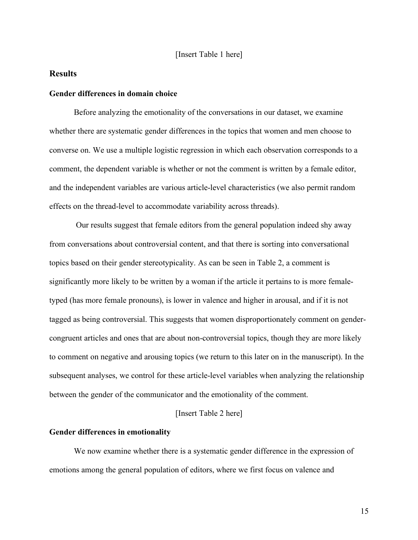### **Results**

#### **Gender differences in domain choice**

Before analyzing the emotionality of the conversations in our dataset, we examine whether there are systematic gender differences in the topics that women and men choose to converse on. We use a multiple logistic regression in which each observation corresponds to a comment, the dependent variable is whether or not the comment is written by a female editor, and the independent variables are various article-level characteristics (we also permit random effects on the thread-level to accommodate variability across threads).

Our results suggest that female editors from the general population indeed shy away from conversations about controversial content, and that there is sorting into conversational topics based on their gender stereotypicality. As can be seen in Table 2, a comment is significantly more likely to be written by a woman if the article it pertains to is more femaletyped (has more female pronouns), is lower in valence and higher in arousal, and if it is not tagged as being controversial. This suggests that women disproportionately comment on gendercongruent articles and ones that are about non-controversial topics, though they are more likely to comment on negative and arousing topics (we return to this later on in the manuscript). In the subsequent analyses, we control for these article-level variables when analyzing the relationship between the gender of the communicator and the emotionality of the comment.

### [Insert Table 2 here]

### **Gender differences in emotionality**

We now examine whether there is a systematic gender difference in the expression of emotions among the general population of editors, where we first focus on valence and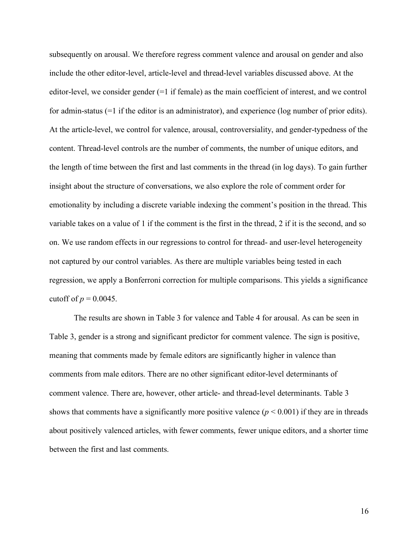subsequently on arousal. We therefore regress comment valence and arousal on gender and also include the other editor-level, article-level and thread-level variables discussed above. At the editor-level, we consider gender (=1 if female) as the main coefficient of interest, and we control for admin-status (=1 if the editor is an administrator), and experience (log number of prior edits). At the article-level, we control for valence, arousal, controversiality, and gender-typedness of the content. Thread-level controls are the number of comments, the number of unique editors, and the length of time between the first and last comments in the thread (in log days). To gain further insight about the structure of conversations, we also explore the role of comment order for emotionality by including a discrete variable indexing the comment's position in the thread. This variable takes on a value of 1 if the comment is the first in the thread, 2 if it is the second, and so on. We use random effects in our regressions to control for thread- and user-level heterogeneity not captured by our control variables. As there are multiple variables being tested in each regression, we apply a Bonferroni correction for multiple comparisons. This yields a significance cutoff of  $p = 0.0045$ .

The results are shown in Table 3 for valence and Table 4 for arousal. As can be seen in Table 3, gender is a strong and significant predictor for comment valence. The sign is positive, meaning that comments made by female editors are significantly higher in valence than comments from male editors. There are no other significant editor-level determinants of comment valence. There are, however, other article- and thread-level determinants. Table 3 shows that comments have a significantly more positive valence  $(p < 0.001)$  if they are in threads about positively valenced articles, with fewer comments, fewer unique editors, and a shorter time between the first and last comments.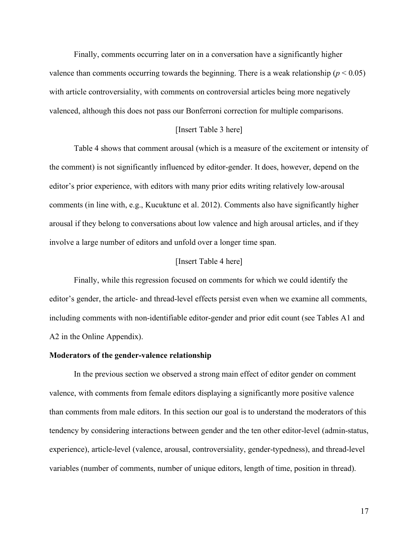Finally, comments occurring later on in a conversation have a significantly higher valence than comments occurring towards the beginning. There is a weak relationship ( $p < 0.05$ ) with article controversiality, with comments on controversial articles being more negatively valenced, although this does not pass our Bonferroni correction for multiple comparisons.

### [Insert Table 3 here]

Table 4 shows that comment arousal (which is a measure of the excitement or intensity of the comment) is not significantly influenced by editor-gender. It does, however, depend on the editor's prior experience, with editors with many prior edits writing relatively low-arousal comments (in line with, e.g., Kucuktunc et al. 2012). Comments also have significantly higher arousal if they belong to conversations about low valence and high arousal articles, and if they involve a large number of editors and unfold over a longer time span.

#### [Insert Table 4 here]

Finally, while this regression focused on comments for which we could identify the editor's gender, the article- and thread-level effects persist even when we examine all comments, including comments with non-identifiable editor-gender and prior edit count (see Tables A1 and A2 in the Online Appendix).

#### **Moderators of the gender-valence relationship**

In the previous section we observed a strong main effect of editor gender on comment valence, with comments from female editors displaying a significantly more positive valence than comments from male editors. In this section our goal is to understand the moderators of this tendency by considering interactions between gender and the ten other editor-level (admin-status, experience), article-level (valence, arousal, controversiality, gender-typedness), and thread-level variables (number of comments, number of unique editors, length of time, position in thread).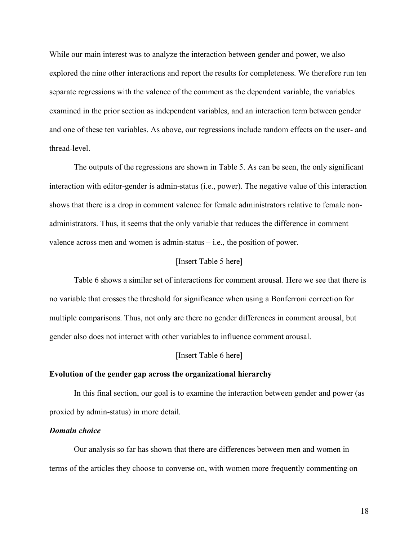While our main interest was to analyze the interaction between gender and power, we also explored the nine other interactions and report the results for completeness. We therefore run ten separate regressions with the valence of the comment as the dependent variable, the variables examined in the prior section as independent variables, and an interaction term between gender and one of these ten variables. As above, our regressions include random effects on the user- and thread-level.

The outputs of the regressions are shown in Table 5. As can be seen, the only significant interaction with editor-gender is admin-status (i.e., power). The negative value of this interaction shows that there is a drop in comment valence for female administrators relative to female nonadministrators. Thus, it seems that the only variable that reduces the difference in comment valence across men and women is admin-status  $-$  i.e., the position of power.

#### [Insert Table 5 here]

Table 6 shows a similar set of interactions for comment arousal. Here we see that there is no variable that crosses the threshold for significance when using a Bonferroni correction for multiple comparisons. Thus, not only are there no gender differences in comment arousal, but gender also does not interact with other variables to influence comment arousal.

#### [Insert Table 6 here]

#### **Evolution of the gender gap across the organizational hierarchy**

In this final section, our goal is to examine the interaction between gender and power (as proxied by admin-status) in more detail.

#### *Domain choice*

Our analysis so far has shown that there are differences between men and women in terms of the articles they choose to converse on, with women more frequently commenting on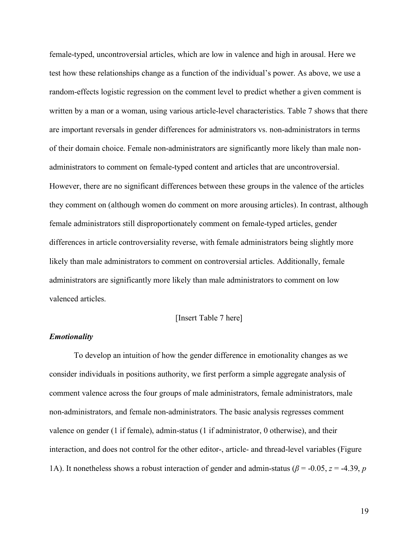female-typed, uncontroversial articles, which are low in valence and high in arousal. Here we test how these relationships change as a function of the individual's power. As above, we use a random-effects logistic regression on the comment level to predict whether a given comment is written by a man or a woman, using various article-level characteristics. Table 7 shows that there are important reversals in gender differences for administrators vs. non-administrators in terms of their domain choice. Female non-administrators are significantly more likely than male nonadministrators to comment on female-typed content and articles that are uncontroversial. However, there are no significant differences between these groups in the valence of the articles they comment on (although women do comment on more arousing articles). In contrast, although female administrators still disproportionately comment on female-typed articles, gender differences in article controversiality reverse, with female administrators being slightly more likely than male administrators to comment on controversial articles. Additionally, female administrators are significantly more likely than male administrators to comment on low valenced articles.

#### [Insert Table 7 here]

#### *Emotionality*

To develop an intuition of how the gender difference in emotionality changes as we consider individuals in positions authority, we first perform a simple aggregate analysis of comment valence across the four groups of male administrators, female administrators, male non-administrators, and female non-administrators. The basic analysis regresses comment valence on gender (1 if female), admin-status (1 if administrator, 0 otherwise), and their interaction, and does not control for the other editor-, article- and thread-level variables (Figure 1A). It nonetheless shows a robust interaction of gender and admin-status (*β* = -0.05, *z* = -4.39, *p*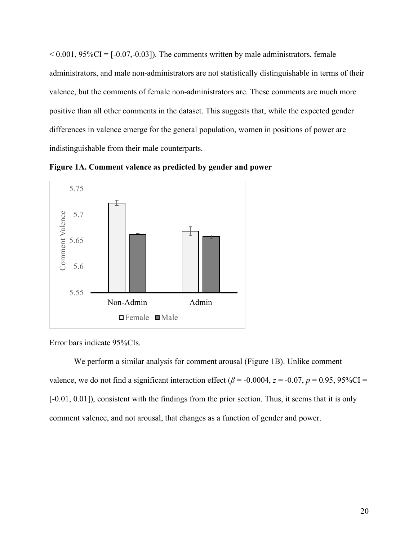$< 0.001$ , 95%CI = [-0.07,-0.03]). The comments written by male administrators, female administrators, and male non-administrators are not statistically distinguishable in terms of their valence, but the comments of female non-administrators are. These comments are much more positive than all other comments in the dataset. This suggests that, while the expected gender differences in valence emerge for the general population, women in positions of power are indistinguishable from their male counterparts.



**Figure 1A. Comment valence as predicted by gender and power**

Error bars indicate 95%CIs.

We perform a similar analysis for comment arousal (Figure 1B). Unlike comment valence, we do not find a significant interaction effect ( $\beta$  = -0.0004, *z* = -0.07, *p* = 0.95, 95%CI = [-0.01, 0.01]), consistent with the findings from the prior section. Thus, it seems that it is only comment valence, and not arousal, that changes as a function of gender and power.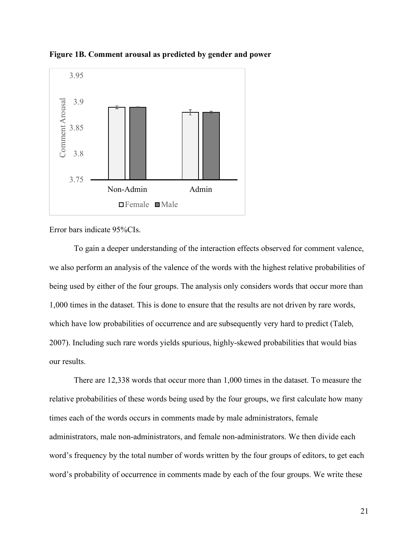

**Figure 1B. Comment arousal as predicted by gender and power**

Error bars indicate 95%CIs.

To gain a deeper understanding of the interaction effects observed for comment valence, we also perform an analysis of the valence of the words with the highest relative probabilities of being used by either of the four groups. The analysis only considers words that occur more than 1,000 times in the dataset. This is done to ensure that the results are not driven by rare words, which have low probabilities of occurrence and are subsequently very hard to predict (Taleb, 2007). Including such rare words yields spurious, highly-skewed probabilities that would bias our results.

There are 12,338 words that occur more than 1,000 times in the dataset. To measure the relative probabilities of these words being used by the four groups, we first calculate how many times each of the words occurs in comments made by male administrators, female administrators, male non-administrators, and female non-administrators. We then divide each word's frequency by the total number of words written by the four groups of editors, to get each word's probability of occurrence in comments made by each of the four groups. We write these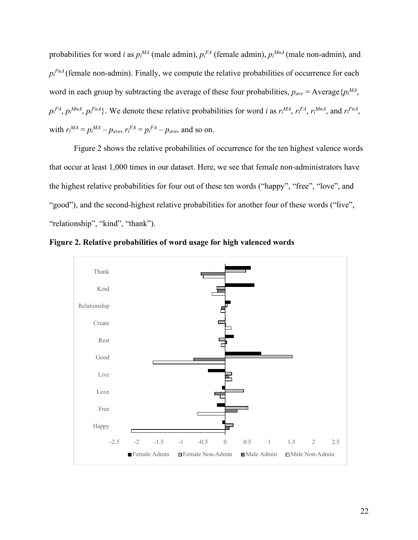probabilities for word *i* as  $p_i^{MA}$  (male admin),  $p_i^{FA}$  (female admin),  $p_i^{MnA}$  (male non-admin), and  $p_i^{FnA}$  (female non-admin). Finally, we compute the relative probabilities of occurrence for each word in each group by subtracting the average of these four probabilities,  $p_{ave} = \text{Average}\{p_i^{MA}, p_i^{MA}\}$  $p_i^{FA}$ ,  $p_i^{MnA}$ ,  $p_i^{FnA}$ }. We denote these relative probabilities for word *i* as  $r_i^{MA}$ ,  $r_i^{FA}$ ,  $r_i^{MnA}$ , and  $r_i^{FnA}$ , with  $r_i^{MA} = p_i^{MA} - p_{ave}$ ,  $r_i^{FA} = p_i^{FA} - p_{ave}$ , and so on.

Figure 2 shows the relative probabilities of occurrence for the ten highest valence words that occur at least 1,000 times in our dataset. Here, we see that female non-administrators have the highest relative probabilities for four out of these ten words ("happy", "free", "love", and "good"), and the second-highest relative probabilities for another four of these words ("live", "relationship", "kind", "thank").



**Figure 2. Relative probabilities of word usage for high valenced words**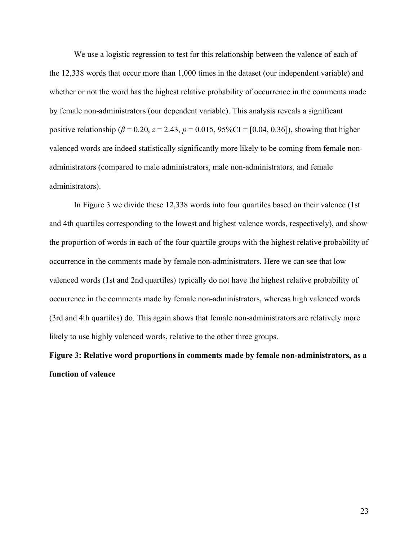We use a logistic regression to test for this relationship between the valence of each of the 12,338 words that occur more than 1,000 times in the dataset (our independent variable) and whether or not the word has the highest relative probability of occurrence in the comments made by female non-administrators (our dependent variable). This analysis reveals a significant positive relationship ( $\beta$  = 0.20, *z* = 2.43, *p* = 0.015, 95%CI = [0.04, 0.36]), showing that higher valenced words are indeed statistically significantly more likely to be coming from female nonadministrators (compared to male administrators, male non-administrators, and female administrators).

In Figure 3 we divide these 12,338 words into four quartiles based on their valence (1st and 4th quartiles corresponding to the lowest and highest valence words, respectively), and show the proportion of words in each of the four quartile groups with the highest relative probability of occurrence in the comments made by female non-administrators. Here we can see that low valenced words (1st and 2nd quartiles) typically do not have the highest relative probability of occurrence in the comments made by female non-administrators, whereas high valenced words (3rd and 4th quartiles) do. This again shows that female non-administrators are relatively more likely to use highly valenced words, relative to the other three groups.

**Figure 3: Relative word proportions in comments made by female non-administrators, as a function of valence**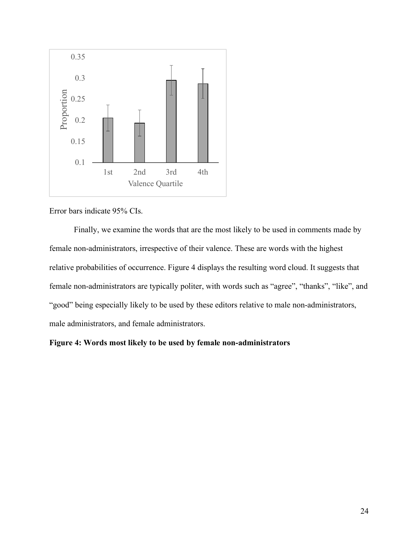

Error bars indicate 95% CIs.

Finally, we examine the words that are the most likely to be used in comments made by female non-administrators, irrespective of their valence. These are words with the highest relative probabilities of occurrence. Figure 4 displays the resulting word cloud. It suggests that female non-administrators are typically politer, with words such as "agree", "thanks", "like", and "good" being especially likely to be used by these editors relative to male non-administrators, male administrators, and female administrators.

# **Figure 4: Words most likely to be used by female non-administrators**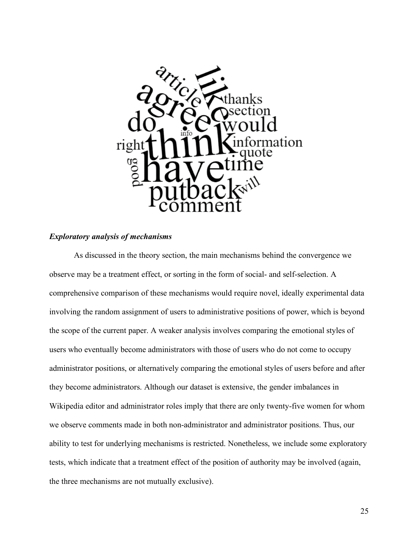

# *Exploratory analysis of mechanisms*

As discussed in the theory section, the main mechanisms behind the convergence we observe may be a treatment effect, or sorting in the form of social- and self-selection. A comprehensive comparison of these mechanisms would require novel, ideally experimental data involving the random assignment of users to administrative positions of power, which is beyond the scope of the current paper. A weaker analysis involves comparing the emotional styles of users who eventually become administrators with those of users who do not come to occupy administrator positions, or alternatively comparing the emotional styles of users before and after they become administrators. Although our dataset is extensive, the gender imbalances in Wikipedia editor and administrator roles imply that there are only twenty-five women for whom we observe comments made in both non-administrator and administrator positions. Thus, our ability to test for underlying mechanisms is restricted. Nonetheless, we include some exploratory tests, which indicate that a treatment effect of the position of authority may be involved (again, the three mechanisms are not mutually exclusive).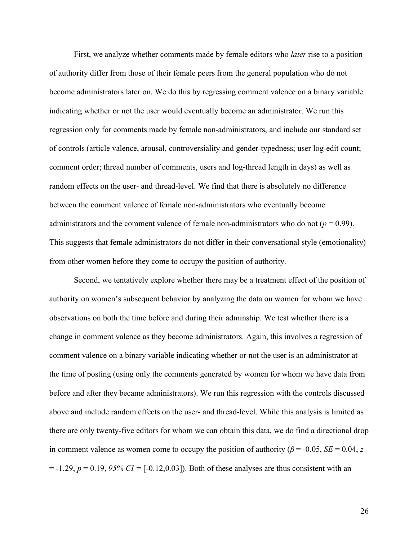First, we analyze whether comments made by female editors who *later* rise to a position of authority differ from those of their female peers from the general population who do not become administrators later on. We do this by regressing comment valence on a binary variable indicating whether or not the user would eventually become an administrator. We run this regression only for comments made by female non-administrators, and include our standard set of controls (article valence, arousal, controversiality and gender-typedness; user log-edit count; comment order; thread number of comments, users and log-thread length in days) as well as random effects on the user- and thread-level. We find that there is absolutely no difference between the comment valence of female non-administrators who eventually become administrators and the comment valence of female non-administrators who do not  $(p = 0.99)$ . This suggests that female administrators do not differ in their conversational style (emotionality) from other women before they come to occupy the position of authority.

Second, we tentatively explore whether there may be a treatment effect of the position of authority on women's subsequent behavior by analyzing the data on women for whom we have observations on both the time before and during their adminship. We test whether there is a change in comment valence as they become administrators. Again, this involves a regression of comment valence on a binary variable indicating whether or not the user is an administrator at the time of posting (using only the comments generated by women for whom we have data from before and after they became administrators). We run this regression with the controls discussed above and include random effects on the user- and thread-level. While this analysis is limited as there are only twenty-five editors for whom we can obtain this data, we do find a directional drop in comment valence as women come to occupy the position of authority ( $\beta$  = -0.05, *SE* = 0.04, *z*  $= -1.29, p = 0.19, 95\% \text{ CI} = [-0.12, 0.03]$ . Both of these analyses are thus consistent with an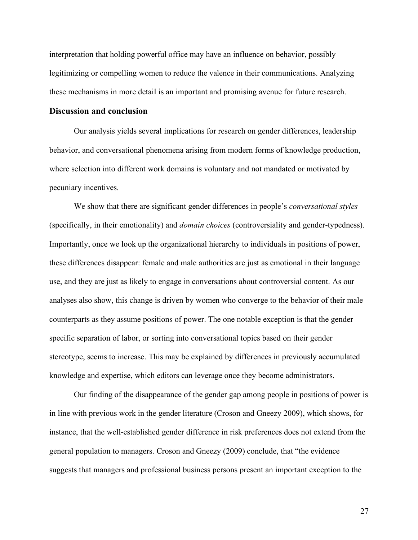interpretation that holding powerful office may have an influence on behavior, possibly legitimizing or compelling women to reduce the valence in their communications. Analyzing these mechanisms in more detail is an important and promising avenue for future research.

### **Discussion and conclusion**

Our analysis yields several implications for research on gender differences, leadership behavior, and conversational phenomena arising from modern forms of knowledge production, where selection into different work domains is voluntary and not mandated or motivated by pecuniary incentives.

We show that there are significant gender differences in people's *conversational styles* (specifically, in their emotionality) and *domain choices* (controversiality and gender-typedness). Importantly, once we look up the organizational hierarchy to individuals in positions of power, these differences disappear: female and male authorities are just as emotional in their language use, and they are just as likely to engage in conversations about controversial content. As our analyses also show, this change is driven by women who converge to the behavior of their male counterparts as they assume positions of power. The one notable exception is that the gender specific separation of labor, or sorting into conversational topics based on their gender stereotype, seems to increase. This may be explained by differences in previously accumulated knowledge and expertise, which editors can leverage once they become administrators.

Our finding of the disappearance of the gender gap among people in positions of power is in line with previous work in the gender literature (Croson and Gneezy 2009), which shows, for instance, that the well-established gender difference in risk preferences does not extend from the general population to managers. Croson and Gneezy (2009) conclude, that "the evidence suggests that managers and professional business persons present an important exception to the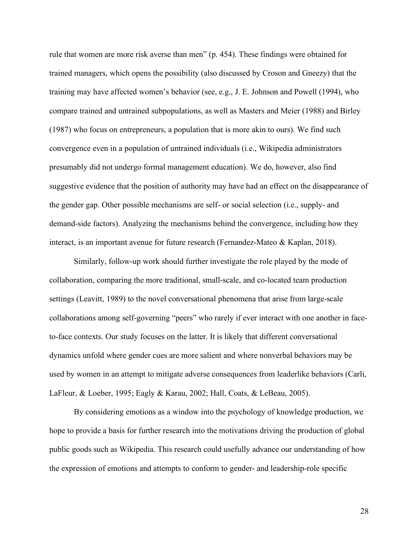rule that women are more risk averse than men" (p. 454). These findings were obtained for trained managers, which opens the possibility (also discussed by Croson and Gneezy) that the training may have affected women's behavior (see, e.g., J. E. Johnson and Powell (1994), who compare trained and untrained subpopulations, as well as Masters and Meier (1988) and Birley (1987) who focus on entrepreneurs, a population that is more akin to ours). We find such convergence even in a population of untrained individuals (i.e., Wikipedia administrators presumably did not undergo formal management education). We do, however, also find suggestive evidence that the position of authority may have had an effect on the disappearance of the gender gap. Other possible mechanisms are self- or social selection (i.e., supply- and demand-side factors). Analyzing the mechanisms behind the convergence, including how they interact, is an important avenue for future research (Fernandez-Mateo & Kaplan, 2018).

Similarly, follow-up work should further investigate the role played by the mode of collaboration, comparing the more traditional, small-scale, and co-located team production settings (Leavitt, 1989) to the novel conversational phenomena that arise from large-scale collaborations among self-governing "peers" who rarely if ever interact with one another in faceto-face contexts. Our study focuses on the latter. It is likely that different conversational dynamics unfold where gender cues are more salient and where nonverbal behaviors may be used by women in an attempt to mitigate adverse consequences from leaderlike behaviors (Carli, LaFleur, & Loeber, 1995; Eagly & Karau, 2002; Hall, Coats, & LeBeau, 2005).

By considering emotions as a window into the psychology of knowledge production, we hope to provide a basis for further research into the motivations driving the production of global public goods such as Wikipedia. This research could usefully advance our understanding of how the expression of emotions and attempts to conform to gender- and leadership-role specific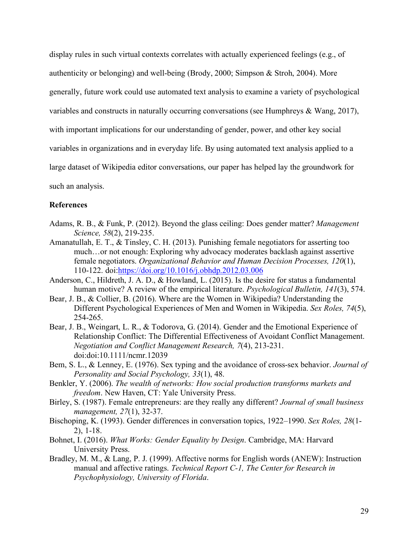display rules in such virtual contexts correlates with actually experienced feelings (e.g., of authenticity or belonging) and well-being (Brody, 2000; Simpson & Stroh, 2004). More generally, future work could use automated text analysis to examine a variety of psychological variables and constructs in naturally occurring conversations (see Humphreys & Wang, 2017), with important implications for our understanding of gender, power, and other key social variables in organizations and in everyday life. By using automated text analysis applied to a large dataset of Wikipedia editor conversations, our paper has helped lay the groundwork for such an analysis.

### **References**

- Adams, R. B., & Funk, P. (2012). Beyond the glass ceiling: Does gender matter? *Management Science, 58*(2), 219-235.
- Amanatullah, E. T., & Tinsley, C. H. (2013). Punishing female negotiators for asserting too much…or not enough: Exploring why advocacy moderates backlash against assertive female negotiators. *Organizational Behavior and Human Decision Processes, 120*(1), 110-122. doi:https://doi.org/10.1016/j.obhdp.2012.03.006
- Anderson, C., Hildreth, J. A. D., & Howland, L. (2015). Is the desire for status a fundamental human motive? A review of the empirical literature. *Psychological Bulletin, 141*(3), 574.
- Bear, J. B., & Collier, B. (2016). Where are the Women in Wikipedia? Understanding the Different Psychological Experiences of Men and Women in Wikipedia. *Sex Roles, 74*(5), 254-265.
- Bear, J. B., Weingart, L. R., & Todorova, G. (2014). Gender and the Emotional Experience of Relationship Conflict: The Differential Effectiveness of Avoidant Conflict Management. *Negotiation and Conflict Management Research, 7*(4), 213-231. doi:doi:10.1111/ncmr.12039
- Bem, S. L., & Lenney, E. (1976). Sex typing and the avoidance of cross-sex behavior. *Journal of Personality and Social Psychology, 33*(1), 48.
- Benkler, Y. (2006). *The wealth of networks: How social production transforms markets and freedom*. New Haven, CT: Yale University Press.
- Birley, S. (1987). Female entrepreneurs: are they really any different? *Journal of small business management, 27*(1), 32-37.
- Bischoping, K. (1993). Gender differences in conversation topics, 1922–1990. *Sex Roles, 28*(1- 2), 1-18.
- Bohnet, I. (2016). *What Works: Gender Equality by Design*. Cambridge, MA: Harvard University Press.
- Bradley, M. M., & Lang, P. J. (1999). Affective norms for English words (ANEW): Instruction manual and affective ratings. *Technical Report C-1, The Center for Research in Psychophysiology, University of Florida*.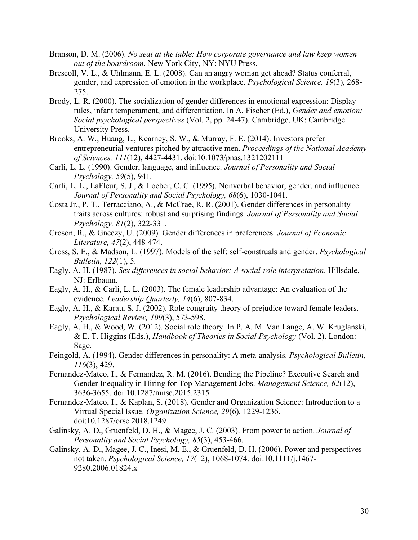- Branson, D. M. (2006). *No seat at the table: How corporate governance and law keep women out of the boardroom*. New York City, NY: NYU Press.
- Brescoll, V. L., & Uhlmann, E. L. (2008). Can an angry woman get ahead? Status conferral, gender, and expression of emotion in the workplace. *Psychological Science, 19*(3), 268- 275.
- Brody, L. R. (2000). The socialization of gender differences in emotional expression: Display rules, infant temperament, and differentiation. In A. Fischer (Ed.), *Gender and emotion: Social psychological perspectives* (Vol. 2, pp. 24-47). Cambridge, UK: Cambridge University Press.
- Brooks, A. W., Huang, L., Kearney, S. W., & Murray, F. E. (2014). Investors prefer entrepreneurial ventures pitched by attractive men. *Proceedings of the National Academy of Sciences, 111*(12), 4427-4431. doi:10.1073/pnas.1321202111
- Carli, L. L. (1990). Gender, language, and influence. *Journal of Personality and Social Psychology, 59*(5), 941.
- Carli, L. L., LaFleur, S. J., & Loeber, C. C. (1995). Nonverbal behavior, gender, and influence. *Journal of Personality and Social Psychology, 68*(6), 1030-1041.
- Costa Jr., P. T., Terracciano, A., & McCrae, R. R. (2001). Gender differences in personality traits across cultures: robust and surprising findings. *Journal of Personality and Social Psychology, 81*(2), 322-331.
- Croson, R., & Gneezy, U. (2009). Gender differences in preferences. *Journal of Economic Literature, 47*(2), 448-474.
- Cross, S. E., & Madson, L. (1997). Models of the self: self-construals and gender. *Psychological Bulletin, 122*(1), 5.
- Eagly, A. H. (1987). *Sex differences in social behavior: A social-role interpretation*. Hillsdale, NJ: Erlbaum.
- Eagly, A. H., & Carli, L. L. (2003). The female leadership advantage: An evaluation of the evidence. *Leadership Quarterly, 14*(6), 807-834.
- Eagly, A. H., & Karau, S. J. (2002). Role congruity theory of prejudice toward female leaders. *Psychological Review, 109*(3), 573-598.
- Eagly, A. H., & Wood, W. (2012). Social role theory. In P. A. M. Van Lange, A. W. Kruglanski, & E. T. Higgins (Eds.), *Handbook of Theories in Social Psychology* (Vol. 2). London: Sage.
- Feingold, A. (1994). Gender differences in personality: A meta-analysis. *Psychological Bulletin, 116*(3), 429.
- Fernandez-Mateo, I., & Fernandez, R. M. (2016). Bending the Pipeline? Executive Search and Gender Inequality in Hiring for Top Management Jobs. *Management Science, 62*(12), 3636-3655. doi:10.1287/mnsc.2015.2315
- Fernandez-Mateo, I., & Kaplan, S. (2018). Gender and Organization Science: Introduction to a Virtual Special Issue. *Organization Science, 29*(6), 1229-1236. doi:10.1287/orsc.2018.1249
- Galinsky, A. D., Gruenfeld, D. H., & Magee, J. C. (2003). From power to action. *Journal of Personality and Social Psychology, 85*(3), 453-466.
- Galinsky, A. D., Magee, J. C., Inesi, M. E., & Gruenfeld, D. H. (2006). Power and perspectives not taken. *Psychological Science, 17*(12), 1068-1074. doi:10.1111/j.1467- 9280.2006.01824.x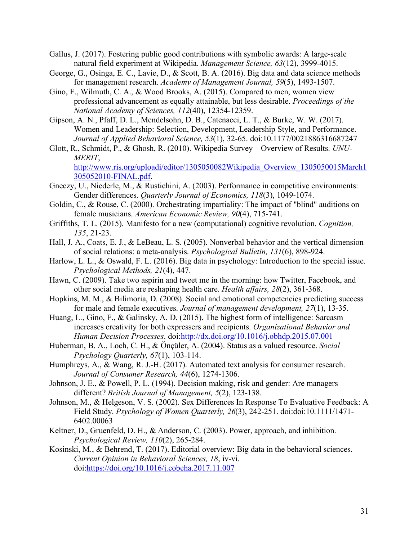- Gallus, J. (2017). Fostering public good contributions with symbolic awards: A large-scale natural field experiment at Wikipedia. *Management Science, 63*(12), 3999-4015.
- George, G., Osinga, E. C., Lavie, D., & Scott, B. A. (2016). Big data and data science methods for management research. *Academy of Management Journal, 59*(5), 1493-1507.
- Gino, F., Wilmuth, C. A., & Wood Brooks, A. (2015). Compared to men, women view professional advancement as equally attainable, but less desirable. *Proceedings of the National Academy of Sciences, 112*(40), 12354-12359.
- Gipson, A. N., Pfaff, D. L., Mendelsohn, D. B., Catenacci, L. T., & Burke, W. W. (2017). Women and Leadership: Selection, Development, Leadership Style, and Performance. *Journal of Applied Behavioral Science, 53*(1), 32-65. doi:10.1177/0021886316687247
- Glott, R., Schmidt, P., & Ghosh, R. (2010). Wikipedia Survey Overview of Results. *UNU-MERIT*,

http://www.ris.org/uploadi/editor/1305050082Wikipedia\_Overview\_1305050015March1\_ 305052010-FINAL.pdf.

- Gneezy, U., Niederle, M., & Rustichini, A. (2003). Performance in competitive environments: Gender differences. *Quarterly Journal of Economics, 118*(3), 1049-1074.
- Goldin, C., & Rouse, C. (2000). Orchestrating impartiality: The impact of "blind" auditions on female musicians. *American Economic Review, 90*(4), 715-741.
- Griffiths, T. L. (2015). Manifesto for a new (computational) cognitive revolution. *Cognition, 135*, 21-23.
- Hall, J. A., Coats, E. J., & LeBeau, L. S. (2005). Nonverbal behavior and the vertical dimension of social relations: a meta-analysis. *Psychological Bulletin, 131*(6), 898-924.
- Harlow, L. L., & Oswald, F. L. (2016). Big data in psychology: Introduction to the special issue. *Psychological Methods, 21*(4), 447.
- Hawn, C. (2009). Take two aspirin and tweet me in the morning: how Twitter, Facebook, and other social media are reshaping health care. *Health affairs, 28*(2), 361-368.
- Hopkins, M. M., & Bilimoria, D. (2008). Social and emotional competencies predicting success for male and female executives. *Journal of management development, 27*(1), 13-35.
- Huang, L., Gino, F., & Galinsky, A. D. (2015). The highest form of intelligence: Sarcasm increases creativity for both expressers and recipients. *Organizational Behavior and Human Decision Processes*. doi:http://dx.doi.org/10.1016/j.obhdp.2015.07.001
- Huberman, B. A., Loch, C. H., & Önçüler, A. (2004). Status as a valued resource. *Social Psychology Quarterly, 67*(1), 103-114.
- Humphreys, A., & Wang, R. J.-H. (2017). Automated text analysis for consumer research. *Journal of Consumer Research, 44*(6), 1274-1306.
- Johnson, J. E., & Powell, P. L. (1994). Decision making, risk and gender: Are managers different? *British Journal of Management, 5*(2), 123-138.
- Johnson, M., & Helgeson, V. S. (2002). Sex Differences In Response To Evaluative Feedback: A Field Study. *Psychology of Women Quarterly, 26*(3), 242-251. doi:doi:10.1111/1471- 6402.00063
- Keltner, D., Gruenfeld, D. H., & Anderson, C. (2003). Power, approach, and inhibition. *Psychological Review, 110*(2), 265-284.
- Kosinski, M., & Behrend, T. (2017). Editorial overview: Big data in the behavioral sciences. *Current Opinion in Behavioral Sciences, 18*, iv-vi. doi:https://doi.org/10.1016/j.cobeha.2017.11.007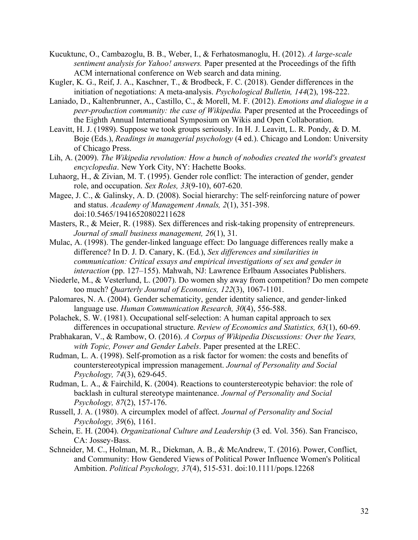- Kucuktunc, O., Cambazoglu, B. B., Weber, I., & Ferhatosmanoglu, H. (2012). *A large-scale sentiment analysis for Yahoo! answers.* Paper presented at the Proceedings of the fifth ACM international conference on Web search and data mining.
- Kugler, K. G., Reif, J. A., Kaschner, T., & Brodbeck, F. C. (2018). Gender differences in the initiation of negotiations: A meta-analysis. *Psychological Bulletin, 144*(2), 198-222.
- Laniado, D., Kaltenbrunner, A., Castillo, C., & Morell, M. F. (2012). *Emotions and dialogue in a peer-production community: the case of Wikipedia.* Paper presented at the Proceedings of the Eighth Annual International Symposium on Wikis and Open Collaboration.
- Leavitt, H. J. (1989). Suppose we took groups seriously. In H. J. Leavitt, L. R. Pondy, & D. M. Boje (Eds.), *Readings in managerial psychology* (4 ed.). Chicago and London: University of Chicago Press.
- Lih, A. (2009). *The Wikipedia revolution: How a bunch of nobodies created the world's greatest encyclopedia*. New York City, NY: Hachette Books.
- Luhaorg, H., & Zivian, M. T. (1995). Gender role conflict: The interaction of gender, gender role, and occupation. *Sex Roles, 33*(9-10), 607-620.
- Magee, J. C., & Galinsky, A. D. (2008). Social hierarchy: The self-reinforcing nature of power and status. *Academy of Management Annals, 2*(1), 351-398. doi:10.5465/19416520802211628
- Masters, R., & Meier, R. (1988). Sex differences and risk-taking propensity of entrepreneurs. *Journal of small business management, 26*(1), 31.
- Mulac, A. (1998). The gender-linked language effect: Do language differences really make a difference? In D. J. D. Canary, K. (Ed.), *Sex differences and similarities in communication: Critical essays and empirical investigations of sex and gender in interaction* (pp. 127–155). Mahwah, NJ: Lawrence Erlbaum Associates Publishers.
- Niederle, M., & Vesterlund, L. (2007). Do women shy away from competition? Do men compete too much? *Quarterly Journal of Economics, 122*(3), 1067-1101.
- Palomares, N. A. (2004). Gender schematicity, gender identity salience, and gender-linked language use. *Human Communication Research, 30*(4), 556-588.
- Polachek, S. W. (1981). Occupational self-selection: A human capital approach to sex differences in occupational structure. *Review of Economics and Statistics, 63*(1), 60-69.
- Prabhakaran, V., & Rambow, O. (2016). *A Corpus of Wikipedia Discussions: Over the Years, with Topic, Power and Gender Labels*. Paper presented at the LREC.
- Rudman, L. A. (1998). Self-promotion as a risk factor for women: the costs and benefits of counterstereotypical impression management. *Journal of Personality and Social Psychology, 74*(3), 629-645.
- Rudman, L. A., & Fairchild, K. (2004). Reactions to counterstereotypic behavior: the role of backlash in cultural stereotype maintenance. *Journal of Personality and Social Psychology, 87*(2), 157-176.
- Russell, J. A. (1980). A circumplex model of affect. *Journal of Personality and Social Psychology, 39*(6), 1161.
- Schein, E. H. (2004). *Organizational Culture and Leadership* (3 ed. Vol. 356). San Francisco, CA: Jossey-Bass.
- Schneider, M. C., Holman, M. R., Diekman, A. B., & McAndrew, T. (2016). Power, Conflict, and Community: How Gendered Views of Political Power Influence Women's Political Ambition. *Political Psychology, 37*(4), 515-531. doi:10.1111/pops.12268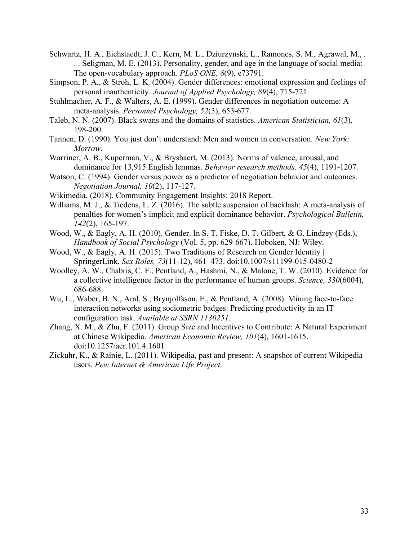- Schwartz, H. A., Eichstaedt, J. C., Kern, M. L., Dziurzynski, L., Ramones, S. M., Agrawal, M., . . . Seligman, M. E. (2013). Personality, gender, and age in the language of social media: The open-vocabulary approach. *PLoS ONE, 8*(9), e73791.
- Simpson, P. A., & Stroh, L. K. (2004). Gender differences: emotional expression and feelings of personal inauthenticity. *Journal of Applied Psychology, 89*(4), 715-721.
- Stuhlmacher, A. F., & Walters, A. E. (1999). Gender differences in negotiation outcome: A meta-analysis. *Personnel Psychology, 52*(3), 653-677.
- Taleb, N. N. (2007). Black swans and the domains of statistics. *American Statistician, 61*(3), 198-200.
- Tannen, D. (1990). You just don't understand: Men and women in conversation. *New York: Morrow*.
- Warriner, A. B., Kuperman, V., & Brysbaert, M. (2013). Norms of valence, arousal, and dominance for 13,915 English lemmas. *Behavior research methods, 45*(4), 1191-1207.
- Watson, C. (1994). Gender versus power as a predictor of negotiation behavior and outcomes. *Negotiation Journal, 10*(2), 117-127.
- Wikimedia. (2018). Community Engagement Insights: 2018 Report.
- Williams, M. J., & Tiedens, L. Z. (2016). The subtle suspension of backlash: A meta-analysis of penalties for women's implicit and explicit dominance behavior. *Psychological Bulletin, 142*(2), 165-197.
- Wood, W., & Eagly, A. H. (2010). Gender. In S. T. Fiske, D. T. Gilbert, & G. Lindzey (Eds.), *Handbook of Social Psychology* (Vol. 5, pp. 629-667). Hoboken, NJ: Wiley.
- Wood, W., & Eagly, A. H. (2015). Two Traditions of Research on Gender Identity | SpringerLink. *Sex Roles, 73*(11-12), 461–473. doi:10.1007/s11199-015-0480-2
- Woolley, A. W., Chabris, C. F., Pentland, A., Hashmi, N., & Malone, T. W. (2010). Evidence for a collective intelligence factor in the performance of human groups. *Science, 330*(6004), 686-688.
- Wu, L., Waber, B. N., Aral, S., Brynjolfsson, E., & Pentland, A. (2008). Mining face-to-face interaction networks using sociometric badges: Predicting productivity in an IT configuration task. *Available at SSRN 1130251*.
- Zhang, X. M., & Zhu, F. (2011). Group Size and Incentives to Contribute: A Natural Experiment at Chinese Wikipedia. *American Economic Review, 101*(4), 1601-1615. doi:10.1257/aer.101.4.1601
- Zickuhr, K., & Rainie, L. (2011). Wikipedia, past and present: A snapshot of current Wikipedia users. *Pew Internet & American Life Project*.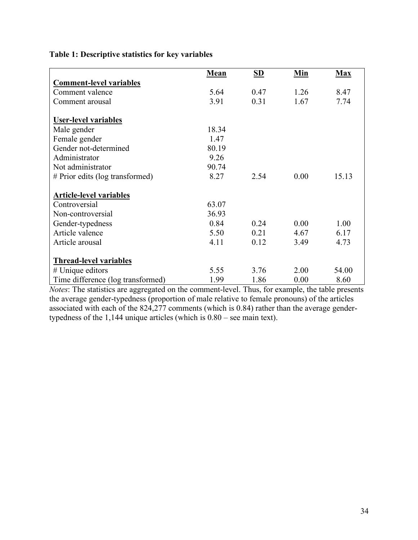**Table 1: Descriptive statistics for key variables**

|                                   | Mean  | <b>SD</b> | Min  | <b>Max</b> |
|-----------------------------------|-------|-----------|------|------------|
| <b>Comment-level variables</b>    |       |           |      |            |
| Comment valence                   | 5.64  | 0.47      | 1.26 | 8.47       |
| Comment arousal                   | 3.91  | 0.31      | 1.67 | 7.74       |
|                                   |       |           |      |            |
| User-level variables              |       |           |      |            |
| Male gender                       | 18.34 |           |      |            |
| Female gender                     | 1.47  |           |      |            |
| Gender not-determined             | 80.19 |           |      |            |
| Administrator                     | 9.26  |           |      |            |
| Not administrator                 | 90.74 |           |      |            |
| # Prior edits (log transformed)   | 8.27  | 2.54      | 0.00 | 15.13      |
|                                   |       |           |      |            |
| <b>Article-level variables</b>    |       |           |      |            |
| Controversial                     | 63.07 |           |      |            |
| Non-controversial                 | 36.93 |           |      |            |
| Gender-typedness                  | 0.84  | 0.24      | 0.00 | 1.00       |
| Article valence                   | 5.50  | 0.21      | 4.67 | 6.17       |
| Article arousal                   | 4.11  | 0.12      | 3.49 | 4.73       |
|                                   |       |           |      |            |
| <b>Thread-level variables</b>     |       |           |      |            |
| $#$ Unique editors                | 5.55  | 3.76      | 2.00 | 54.00      |
| Time difference (log transformed) | 1.99  | 1.86      | 0.00 | 8.60       |

*Notes*: The statistics are aggregated on the comment-level. Thus, for example, the table presents the average gender-typedness (proportion of male relative to female pronouns) of the articles associated with each of the 824,277 comments (which is 0.84) rather than the average gendertypedness of the 1,144 unique articles (which is 0.80 – see main text).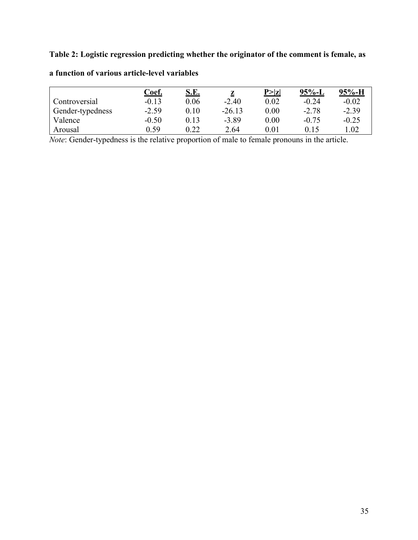**Table 2: Logistic regression predicting whether the originator of the comment is female, as** 

|                  | <u>Coef.</u> | <u>S.E.</u> | $\mathbf z$ | P >  z   | 95%-L   | $95% - H$ |
|------------------|--------------|-------------|-------------|----------|---------|-----------|
| Controversial    | $-0.13$      | 0.06        | $-2.40$     | 0.02     | $-0.24$ | $-0.02$   |
| Gender-typedness | $-2.59$      | 0.10        | $-26.13$    | 0.00     | $-2.78$ | $-2.39$   |
| Valence          | $-0.50$      | 0.13        | $-3.89$     | 0.00     | $-0.75$ | $-0.25$   |
| Arousal          | 0.59         | 0.22        | 2.64        | $0.01\,$ | 0.15    | .02       |

**a function of various article-level variables**

*Note*: Gender-typedness is the relative proportion of male to female pronouns in the article.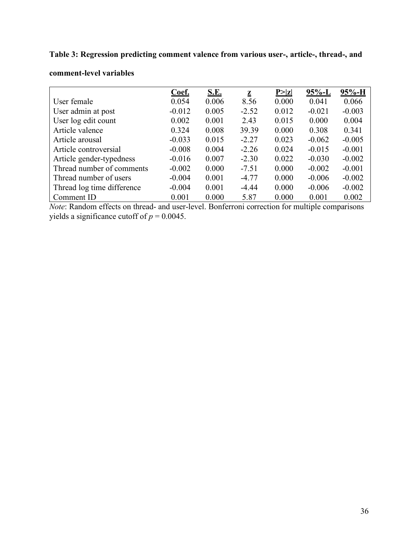# **Table 3: Regression predicting comment valence from various user-, article-, thread-, and**

|                            | Coef.    | <b>S.E.</b> | $\mathbf{z}$ | P >  z | $95% - L$ | $95% - H$ |
|----------------------------|----------|-------------|--------------|--------|-----------|-----------|
| User female                | 0.054    | 0.006       | 8.56         | 0.000  | 0.041     | 0.066     |
| User admin at post         | $-0.012$ | 0.005       | $-2.52$      | 0.012  | $-0.021$  | $-0.003$  |
| User log edit count        | 0.002    | 0.001       | 2.43         | 0.015  | 0.000     | 0.004     |
| Article valence            | 0.324    | 0.008       | 39.39        | 0.000  | 0.308     | 0.341     |
| Article arousal            | $-0.033$ | 0.015       | $-2.27$      | 0.023  | $-0.062$  | $-0.005$  |
| Article controversial      | $-0.008$ | 0.004       | $-2.26$      | 0.024  | $-0.015$  | $-0.001$  |
| Article gender-typedness   | $-0.016$ | 0.007       | $-2.30$      | 0.022  | $-0.030$  | $-0.002$  |
| Thread number of comments  | $-0.002$ | 0.000       | $-7.51$      | 0.000  | $-0.002$  | $-0.001$  |
| Thread number of users     | $-0.004$ | 0.001       | $-4.77$      | 0.000  | $-0.006$  | $-0.002$  |
| Thread log time difference | $-0.004$ | 0.001       | $-4.44$      | 0.000  | $-0.006$  | $-0.002$  |
| Comment ID                 | 0.001    | 0.000       | 5.87         | 0.000  | 0.001     | 0.002     |

### **comment-level variables**

*Note*: Random effects on thread- and user-level. Bonferroni correction for multiple comparisons yields a significance cutoff of  $p = 0.0045$ .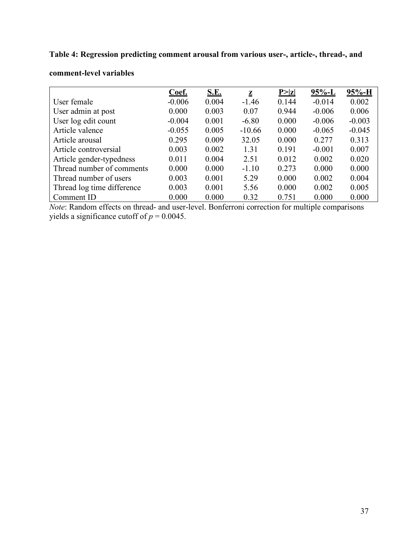# **Table 4: Regression predicting comment arousal from various user-, article-, thread-, and**

|                            | Coef.    | <u>S.E.</u> | $\mathbf z$ | P >  z | $95% - L$ | $95% - H$ |
|----------------------------|----------|-------------|-------------|--------|-----------|-----------|
| User female                | $-0.006$ | 0.004       | $-1.46$     | 0.144  | $-0.014$  | 0.002     |
| User admin at post         | 0.000    | 0.003       | 0.07        | 0.944  | $-0.006$  | 0.006     |
| User log edit count        | $-0.004$ | 0.001       | $-6.80$     | 0.000  | $-0.006$  | $-0.003$  |
| Article valence            | $-0.055$ | 0.005       | $-10.66$    | 0.000  | $-0.065$  | $-0.045$  |
| Article arousal            | 0.295    | 0.009       | 32.05       | 0.000  | 0.277     | 0.313     |
| Article controversial      | 0.003    | 0.002       | 1.31        | 0.191  | $-0.001$  | 0.007     |
| Article gender-typedness   | 0.011    | 0.004       | 2.51        | 0.012  | 0.002     | 0.020     |
| Thread number of comments  | 0.000    | 0.000       | $-1.10$     | 0.273  | 0.000     | 0.000     |
| Thread number of users     | 0.003    | 0.001       | 5.29        | 0.000  | 0.002     | 0.004     |
| Thread log time difference | 0.003    | 0.001       | 5.56        | 0.000  | 0.002     | 0.005     |
| Comment ID                 | 0.000    | 0.000       | 0.32        | 0.751  | 0.000     | 0.000     |

# **comment-level variables**

*Note*: Random effects on thread- and user-level. Bonferroni correction for multiple comparisons yields a significance cutoff of  $p = 0.0045$ .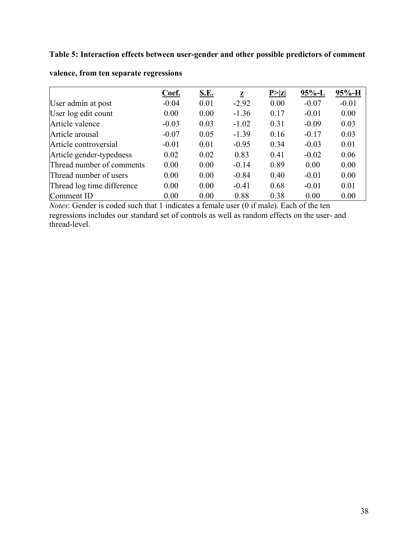# **Table 5: Interaction effects between user-gender and other possible predictors of comment**

|                            | Coef.   | <u>S.E.</u> | $\bf{z}$ | P >  z | $95% - L$ | 95%-H   |
|----------------------------|---------|-------------|----------|--------|-----------|---------|
| User admin at post         | $-0.04$ | 0.01        | $-2.92$  | 0.00   | $-0.07$   | $-0.01$ |
| User log edit count        | 0.00    | 0.00        | $-1.36$  | 0.17   | $-0.01$   | 0.00    |
| Article valence            | $-0.03$ | 0.03        | $-1.02$  | 0.31   | $-0.09$   | 0.03    |
| Article arousal            | $-0.07$ | 0.05        | $-1.39$  | 0.16   | $-0.17$   | 0.03    |
| Article controversial      | $-0.01$ | 0.01        | $-0.95$  | 0.34   | $-0.03$   | 0.01    |
| Article gender-typedness   | 0.02    | 0.02        | 0.83     | 0.41   | $-0.02$   | 0.06    |
| Thread number of comments  | 0.00    | 0.00        | $-0.14$  | 0.89   | 0.00      | 0.00    |
| Thread number of users     | 0.00    | 0.00        | $-0.84$  | 0.40   | $-0.01$   | 0.00    |
| Thread log time difference | 0.00    | 0.00        | $-0.41$  | 0.68   | $-0.01$   | 0.01    |
| Comment ID                 | 0.00    | 0.00        | 0.88     | 0.38   | 0.00      | 0.00    |

# **valence, from ten separate regressions**

*Notes*: Gender is coded such that 1 indicates a female user (0 if male). Each of the ten regressions includes our standard set of controls as well as random effects on the user- and thread-level.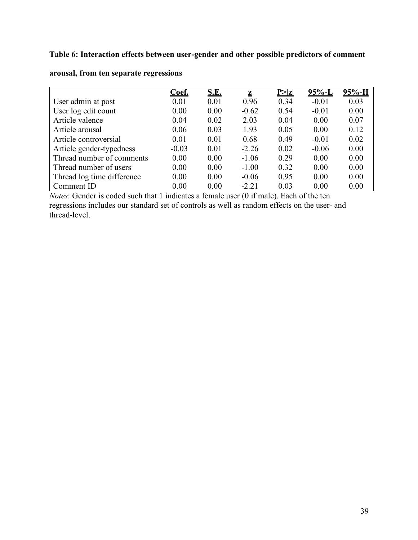# **Table 6: Interaction effects between user-gender and other possible predictors of comment**

|                            | <u>Coef.</u> | <u>S.E.</u> | $\mathbf{z}$ | P >  z | $95% - L$ | $95% - H$ |
|----------------------------|--------------|-------------|--------------|--------|-----------|-----------|
| User admin at post         | 0.01         | 0.01        | 0.96         | 0.34   | $-0.01$   | 0.03      |
| User log edit count        | 0.00         | 0.00        | $-0.62$      | 0.54   | $-0.01$   | 0.00      |
| Article valence            | 0.04         | 0.02        | 2.03         | 0.04   | 0.00      | 0.07      |
| Article arousal            | 0.06         | 0.03        | 1.93         | 0.05   | 0.00      | 0.12      |
| Article controversial      | 0.01         | 0.01        | 0.68         | 0.49   | $-0.01$   | 0.02      |
| Article gender-typedness   | $-0.03$      | 0.01        | $-2.26$      | 0.02   | $-0.06$   | 0.00      |
| Thread number of comments  | 0.00         | 0.00        | $-1.06$      | 0.29   | 0.00      | 0.00      |
| Thread number of users     | 0.00         | 0.00        | $-1.00$      | 0.32   | 0.00      | 0.00      |
| Thread log time difference | 0.00         | 0.00        | $-0.06$      | 0.95   | 0.00      | 0.00      |
| Comment ID                 | 0.00         | 0.00        | $-2.21$      | 0.03   | 0.00      | 0.00      |

# **arousal, from ten separate regressions**

*Notes*: Gender is coded such that 1 indicates a female user (0 if male). Each of the ten regressions includes our standard set of controls as well as random effects on the user- and thread-level.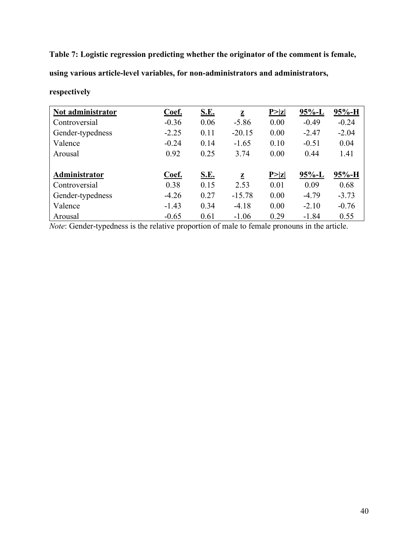**Table 7: Logistic regression predicting whether the originator of the comment is female, using various article-level variables, for non-administrators and administrators,** 

| Not administrator | Coef.   | <u>S.E.</u> | $\mathbf{z}$ | P >  z | $95% - L$ | 95%-H     |
|-------------------|---------|-------------|--------------|--------|-----------|-----------|
| Controversial     | $-0.36$ | 0.06        | $-5.86$      | 0.00   | $-0.49$   | $-0.24$   |
| Gender-typedness  | $-2.25$ | 0.11        | $-20.15$     | 0.00   | $-2.47$   | $-2.04$   |
| Valence           | $-0.24$ | 0.14        | $-1.65$      | 0.10   | $-0.51$   | 0.04      |
| Arousal           | 0.92    | 0.25        | 3.74         | 0.00   | 0.44      | 1.41      |
|                   |         |             |              |        |           |           |
| Administrator     | Coef.   | <u>S.E.</u> | $\bf{z}$     | P >  z | $95% - L$ | $95% - H$ |
| Controversial     | 0.38    | 0.15        | 2.53         | 0.01   | 0.09      | 0.68      |
| Gender-typedness  | $-4.26$ | 0.27        | $-15.78$     | 0.00   | $-4.79$   | $-3.73$   |
| Valence           | $-1.43$ | 0.34        | $-4.18$      | 0.00   | $-2.10$   | $-0.76$   |
| Arousal           | $-0.65$ | 0.61        | $-1.06$      | 0.29   | $-1.84$   | 0.55      |

# **respectively**

*Note*: Gender-typedness is the relative proportion of male to female pronouns in the article.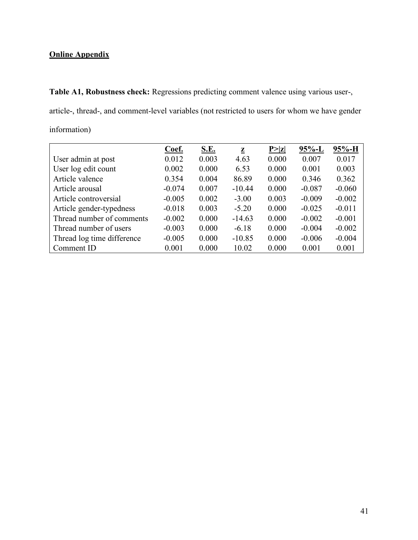# **Online Appendix**

**Table A1, Robustness check:** Regressions predicting comment valence using various user-, article-, thread-, and comment-level variables (not restricted to users for whom we have gender information)

|                            | Coef.    | S.E.  | $\mathbf{z}$ | P >  z | $95% - L$ | 95%-H    |
|----------------------------|----------|-------|--------------|--------|-----------|----------|
| User admin at post         | 0.012    | 0.003 | 4.63         | 0.000  | 0.007     | 0.017    |
| User log edit count        | 0.002    | 0.000 | 6.53         | 0.000  | 0.001     | 0.003    |
| Article valence            | 0.354    | 0.004 | 86.89        | 0.000  | 0.346     | 0.362    |
| Article arousal            | $-0.074$ | 0.007 | $-10.44$     | 0.000  | $-0.087$  | $-0.060$ |
| Article controversial      | $-0.005$ | 0.002 | $-3.00$      | 0.003  | $-0.009$  | $-0.002$ |
| Article gender-typedness   | $-0.018$ | 0.003 | $-5.20$      | 0.000  | $-0.025$  | $-0.011$ |
| Thread number of comments  | $-0.002$ | 0.000 | $-14.63$     | 0.000  | $-0.002$  | $-0.001$ |
| Thread number of users     | $-0.003$ | 0.000 | $-6.18$      | 0.000  | $-0.004$  | $-0.002$ |
| Thread log time difference | $-0.005$ | 0.000 | $-10.85$     | 0.000  | $-0.006$  | $-0.004$ |
| Comment ID                 | 0.001    | 0.000 | 10.02        | 0.000  | 0.001     | 0.001    |